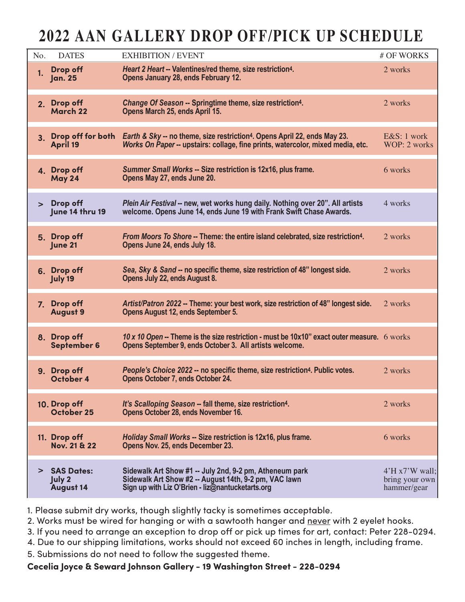## **2022 AAN GALLERY DROP OFF/PICK UP SCHEDULE**

| No.            | <b>DATES</b>                                    | <b>EXHIBITION / EVENT</b>                                                                                                                                                | # OF WORKS                                             |
|----------------|-------------------------------------------------|--------------------------------------------------------------------------------------------------------------------------------------------------------------------------|--------------------------------------------------------|
| 1.             | Drop off<br><b>Jan. 25</b>                      | Heart 2 Heart -- Valentines/red theme, size restriction <sup>4</sup> .<br>Opens January 28, ends February 12.                                                            | 2 works                                                |
| 2.             | Drop off<br>March 22                            | Change Of Season -- Springtime theme, size restriction <sup>4</sup> .<br>Opens March 25, ends April 15.                                                                  | 2 works                                                |
| 3 <sup>1</sup> | Drop off for both<br>April 19                   | Earth & Sky -- no theme, size restriction <sup>4</sup> . Opens April 22, ends May 23.<br>Works On Paper -- upstairs: collage, fine prints, watercolor, mixed media, etc. | E&S: 1 work<br>WOP: 2 works                            |
|                | 4. Drop off<br>May 24                           | Summer Small Works -- Size restriction is 12x16, plus frame.<br>Opens May 27, ends June 20.                                                                              | 6 works                                                |
| $\geq$         | Drop off<br>June 14 thru 19                     | Plein Air Festival -- new, wet works hung daily. Nothing over 20". All artists<br>welcome. Opens June 14, ends June 19 with Frank Swift Chase Awards.                    | 4 works                                                |
|                | 5. Drop off<br>June 21                          | From Moors To Shore -- Theme: the entire island celebrated, size restriction <sup>4</sup> .<br>Opens June 24, ends July 18.                                              | 2 works                                                |
|                | 6. Drop off<br>July 19                          | Sea, Sky & Sand -- no specific theme, size restriction of 48" longest side.<br>Opens July 22, ends August 8.                                                             | 2 works                                                |
| 7.             | Drop off<br><b>August 9</b>                     | Artist/Patron 2022 -- Theme: your best work, size restriction of 48" longest side.<br>Opens August 12, ends September 5.                                                 | 2 works                                                |
|                | 8. Drop off<br>September 6                      | 10 x 10 Open -- Theme is the size restriction - must be $10x10$ " exact outer measure. 6 works<br>Opens September 9, ends October 3. All artists welcome.                |                                                        |
|                | 9. Drop off<br>October 4                        | People's Choice 2022 -- no specific theme, size restriction <sup>4</sup> . Public votes.<br>Opens October 7, ends October 24.                                            | 2 works                                                |
|                | 10. Drop off<br>October 25                      | It's Scalloping Season -- fall theme, size restriction <sup>4</sup> .<br>Opens October 28, ends November 16.                                                             | 2 works                                                |
|                | 11. Drop off<br>Nov. 21 & 22                    | Holiday Small Works -- Size restriction is 12x16, plus frame.<br>Opens Nov. 25, ends December 23.                                                                        | 6 works                                                |
| ⋗              | <b>SAS Dates:</b><br>July 2<br><b>August 14</b> | Sidewalk Art Show #1 -- July 2nd, 9-2 pm, Atheneum park<br>Sidewalk Art Show #2 -- August 14th, 9-2 pm, VAC lawn<br>Sign up with Liz O'Brien - liz@nantucketarts.org     | $4'$ H x $7'$ W wall:<br>bring your own<br>hammer/gear |

1. Please submit dry works, though slightly tacky is sometimes acceptable.

2. Works must be wired for hanging or with a sawtooth hanger and never with 2 eyelet hooks.

3. If you need to arrange an exception to drop off or pick up times for art, contact: Peter 228-0294.

4. Due to our shipping limitations, works should not exceed 60 inches in length, including frame.

5. Submissions do not need to follow the suggested theme.

**Cecelia Joyce & Seward Johnson Gallery - 19 Washington Street - 228-0294**